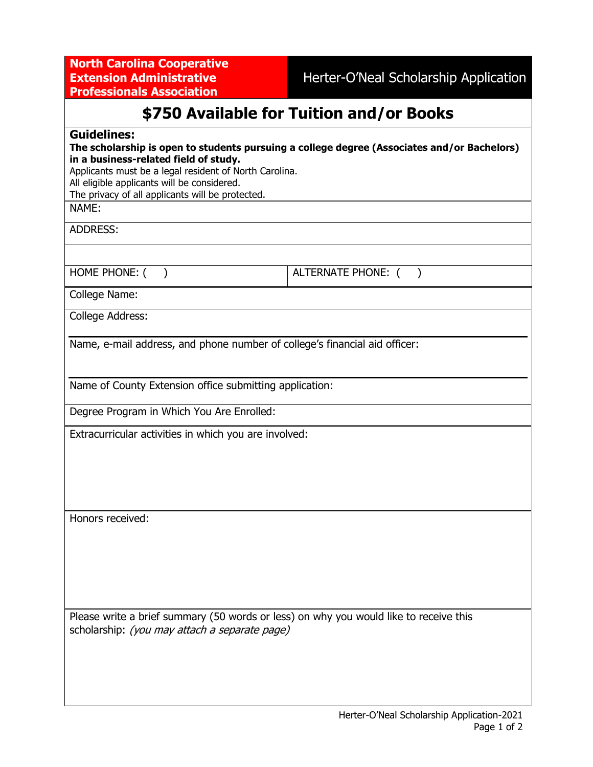**North Carolina Cooperative Extension Administrative Professionals Association**

Herter-O'Neal Scholarship Application

## **\$750 Available for Tuition and/or Books**

## **Guidelines:**

| The scholarship is open to students pursuing a college degree (Associates and/or Bachelors) |  |
|---------------------------------------------------------------------------------------------|--|
| in a business-related field of study.                                                       |  |

Applicants must be a legal resident of North Carolina.

All eligible applicants will be considered.

The privacy of all applicants will be protected.

NAME:

ADDRESS:

HOME PHONE: ( )  $\vert$  ALTERNATE PHONE: ( )

College Name:

College Address:

Name, e-mail address, and phone number of college's financial aid officer:

Name of County Extension office submitting application:

Degree Program in Which You Are Enrolled:

Extracurricular activities in which you are involved:

Honors received:

Please write a brief summary (50 words or less) on why you would like to receive this scholarship: *(you may attach a separate page)*